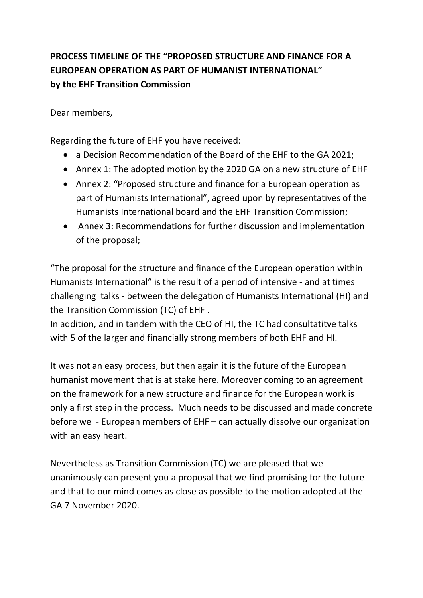# **PROCESS TIMELINE OF THE "PROPOSED STRUCTURE AND FINANCE FOR A EUROPEAN OPERATION AS PART OF HUMANIST INTERNATIONAL" by the EHF Transition Commission**

Dear members,

Regarding the future of EHF you have received:

- a Decision Recommendation of the Board of the EHF to the GA 2021;
- Annex 1: The adopted motion by the 2020 GA on a new structure of EHF
- Annex 2: "Proposed structure and finance for a European operation as part of Humanists International", agreed upon by representatives of the Humanists International board and the EHF Transition Commission;
- Annex 3: Recommendations for further discussion and implementation of the proposal;

"The proposal for the structure and finance of the European operation within Humanists International" is the result of a period of intensive - and at times challenging talks - between the delegation of Humanists International (HI) and the Transition Commission (TC) of EHF .

In addition, and in tandem with the CEO of HI, the TC had consultatitve talks with 5 of the larger and financially strong members of both EHF and HI.

It was not an easy process, but then again it is the future of the European humanist movement that is at stake here. Moreover coming to an agreement on the framework for a new structure and finance for the European work is only a first step in the process. Much needs to be discussed and made concrete before we - European members of EHF – can actually dissolve our organization with an easy heart.

Nevertheless as Transition Commission (TC) we are pleased that we unanimously can present you a proposal that we find promising for the future and that to our mind comes as close as possible to the motion adopted at the GA 7 November 2020.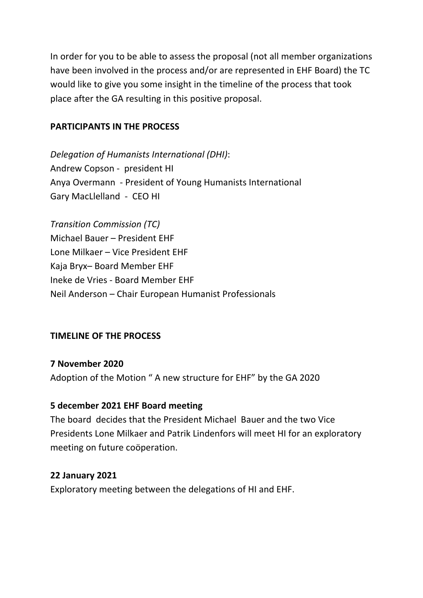In order for you to be able to assess the proposal (not all member organizations have been involved in the process and/or are represented in EHF Board) the TC would like to give you some insight in the timeline of the process that took place after the GA resulting in this positive proposal.

#### **PARTICIPANTS IN THE PROCESS**

*Delegation of Humanists International (DHI)*: Andrew Copson - president HI Anya Overmann - President of Young Humanists International Gary MacLlelland - CEO HI

*Transition Commission (TC)*  Michael Bauer – President EHF Lone Milkaer – Vice President EHF Kaja Bryx– Board Member EHF Ineke de Vries - Board Member EHF Neil Anderson – Chair European Humanist Professionals

#### **TIMELINE OF THE PROCESS**

**7 November 2020** Adoption of the Motion " A new structure for EHF" by the GA 2020

#### **5 december 2021 EHF Board meeting**

The board decides that the President Michael Bauer and the two Vice Presidents Lone Milkaer and Patrik Lindenfors will meet HI for an exploratory meeting on future coöperation.

#### **22 January 2021**

Exploratory meeting between the delegations of HI and EHF.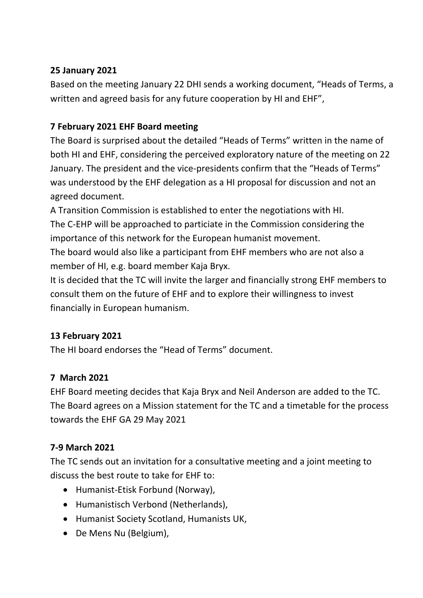# **25 January 2021**

Based on the meeting January 22 DHI sends a working document, "Heads of Terms, a written and agreed basis for any future cooperation by HI and EHF",

# **7 February 2021 EHF Board meeting**

The Board is surprised about the detailed "Heads of Terms" written in the name of both HI and EHF, considering the perceived exploratory nature of the meeting on 22 January. The president and the vice-presidents confirm that the "Heads of Terms" was understood by the EHF delegation as a HI proposal for discussion and not an agreed document.

A Transition Commission is established to enter the negotiations with HI. The C-EHP will be approached to particiate in the Commission considering the importance of this network for the European humanist movement.

The board would also like a participant from EHF members who are not also a member of HI, e.g. board member Kaja Bryx.

It is decided that the TC will invite the larger and financially strong EHF members to consult them on the future of EHF and to explore their willingness to invest financially in European humanism.

# **13 February 2021**

The HI board endorses the "Head of Terms" document.

# **7 March 2021**

EHF Board meeting decides that Kaja Bryx and Neil Anderson are added to the TC. The Board agrees on a Mission statement for the TC and a timetable for the process towards the EHF GA 29 May 2021

# **7-9 March 2021**

The TC sends out an invitation for a consultative meeting and a joint meeting to discuss the best route to take for EHF to:

- Humanist-Etisk Forbund (Norway),
- Humanistisch Verbond (Netherlands),
- Humanist Society Scotland, Humanists UK,
- De Mens Nu (Belgium),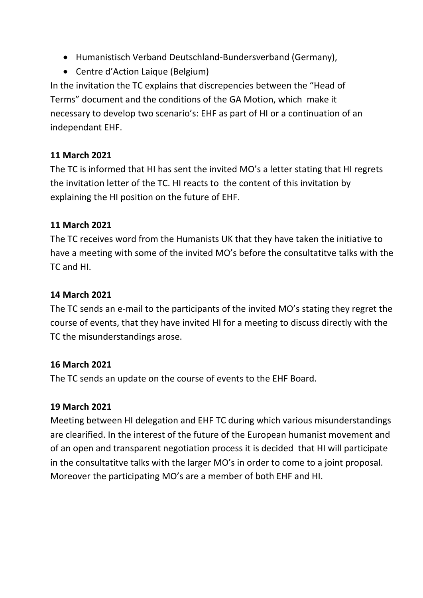- Humanistisch Verband Deutschland-Bundersverband (Germany),
- Centre d'Action Laique (Belgium)

In the invitation the TC explains that discrepencies between the "Head of Terms" document and the conditions of the GA Motion, which make it necessary to develop two scenario's: EHF as part of HI or a continuation of an independant EHF.

# **11 March 2021**

The TC is informed that HI has sent the invited MO's a letter stating that HI regrets the invitation letter of the TC. HI reacts to the content of this invitation by explaining the HI position on the future of EHF.

#### **11 March 2021**

The TC receives word from the Humanists UK that they have taken the initiative to have a meeting with some of the invited MO's before the consultatitve talks with the TC and HI.

### **14 March 2021**

The TC sends an e-mail to the participants of the invited MO's stating they regret the course of events, that they have invited HI for a meeting to discuss directly with the TC the misunderstandings arose.

#### **16 March 2021**

The TC sends an update on the course of events to the EHF Board.

#### **19 March 2021**

Meeting between HI delegation and EHF TC during which various misunderstandings are clearified. In the interest of the future of the European humanist movement and of an open and transparent negotiation process it is decided that HI will participate in the consultatitve talks with the larger MO's in order to come to a joint proposal. Moreover the participating MO's are a member of both EHF and HI.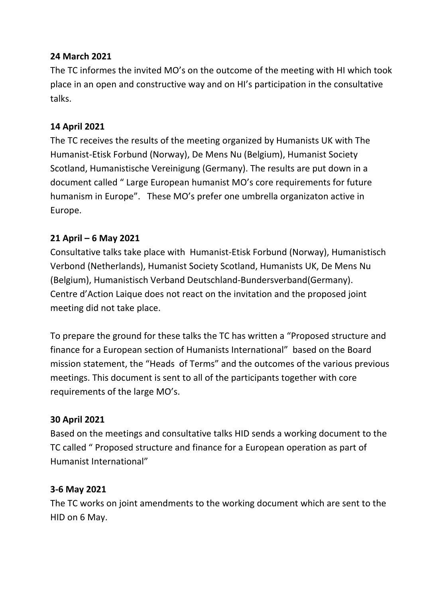# **24 March 2021**

The TC informes the invited MO's on the outcome of the meeting with HI which took place in an open and constructive way and on HI's participation in the consultative talks.

# **14 April 2021**

The TC receives the results of the meeting organized by Humanists UK with The Humanist-Etisk Forbund (Norway), De Mens Nu (Belgium), Humanist Society Scotland, Humanistische Vereinigung (Germany). The results are put down in a document called " Large European humanist MO's core requirements for future humanism in Europe". These MO's prefer one umbrella organizaton active in Europe.

# **21 April – 6 May 2021**

Consultative talks take place with Humanist-Etisk Forbund (Norway), Humanistisch Verbond (Netherlands), Humanist Society Scotland, Humanists UK, De Mens Nu (Belgium), Humanistisch Verband Deutschland-Bundersverband(Germany). Centre d'Action Laique does not react on the invitation and the proposed joint meeting did not take place.

To prepare the ground for these talks the TC has written a "Proposed structure and finance for a European section of Humanists International" based on the Board mission statement, the "Heads of Terms" and the outcomes of the various previous meetings. This document is sent to all of the participants together with core requirements of the large MO's.

#### **30 April 2021**

Based on the meetings and consultative talks HID sends a working document to the TC called " Proposed structure and finance for a European operation as part of Humanist International"

#### **3-6 May 2021**

The TC works on joint amendments to the working document which are sent to the HID on 6 May.